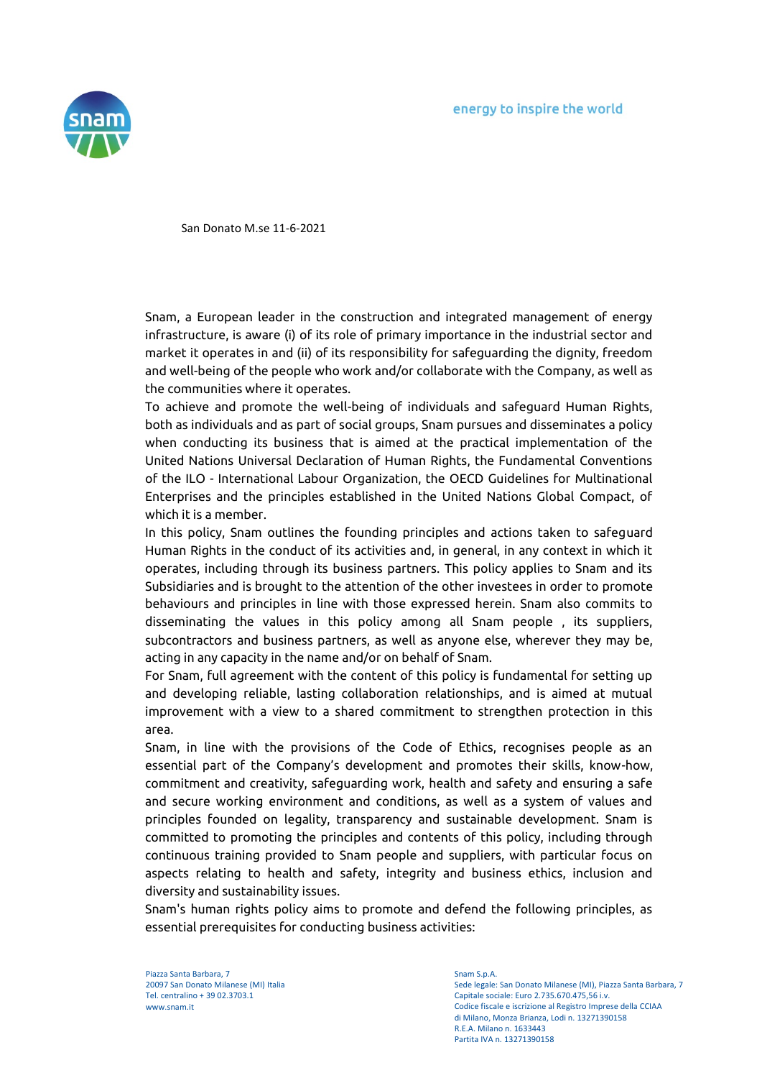

San Donato M.se 11-6-2021

Snam, a European leader in the construction and integrated management of energy infrastructure, is aware (i) of its role of primary importance in the industrial sector and market it operates in and (ii) of its responsibility for safeguarding the dignity, freedom and well-being of the people who work and/or collaborate with the Company, as well as the communities where it operates.

To achieve and promote the well-being of individuals and safeguard Human Rights, both as individuals and as part of social groups, Snam pursues and disseminates a policy when conducting its business that is aimed at the practical implementation of the United Nations Universal Declaration of Human Rights, the Fundamental Conventions of the ILO - International Labour Organization, the OECD Guidelines for Multinational Enterprises and the principles established in the United Nations Global Compact, of which it is a member.

In this policy, Snam outlines the founding principles and actions taken to safeguard Human Rights in the conduct of its activities and, in general, in any context in which it operates, including through its business partners. This policy applies to Snam and its Subsidiaries and is brought to the attention of the other investees in order to promote behaviours and principles in line with those expressed herein. Snam also commits to disseminating the values in this policy among all Snam people , its suppliers, subcontractors and business partners, as well as anyone else, wherever they may be, acting in any capacity in the name and/or on behalf of Snam.

For Snam, full agreement with the content of this policy is fundamental for setting up and developing reliable, lasting collaboration relationships, and is aimed at mutual improvement with a view to a shared commitment to strengthen protection in this area.

Snam, in line with the provisions of the Code of Ethics, recognises people as an essential part of the Company's development and promotes their skills, know-how, commitment and creativity, safeguarding work, health and safety and ensuring a safe and secure working environment and conditions, as well as a system of values and principles founded on legality, transparency and sustainable development. Snam is committed to promoting the principles and contents of this policy, including through continuous training provided to Snam people and suppliers, with particular focus on aspects relating to health and safety, integrity and business ethics, inclusion and diversity and sustainability issues.

Snam's human rights policy aims to promote and defend the following principles, as essential prerequisites for conducting business activities:

Piazza Santa Barbara, 7 20097 San Donato Milanese (MI) Italia Tel. centralino + 39 02.3703.1 www.snam.it

Snam S.p.A.

Sede legale: San Donato Milanese (MI), Piazza Santa Barbara, 7 Capitale sociale: Euro 2.735.670.475,56 i.v. Codice fiscale e iscrizione al Registro Imprese della CCIAA di Milano, Monza Brianza, Lodi n. 13271390158 R.E.A. Milano n. 1633443 Partita IVA n. 13271390158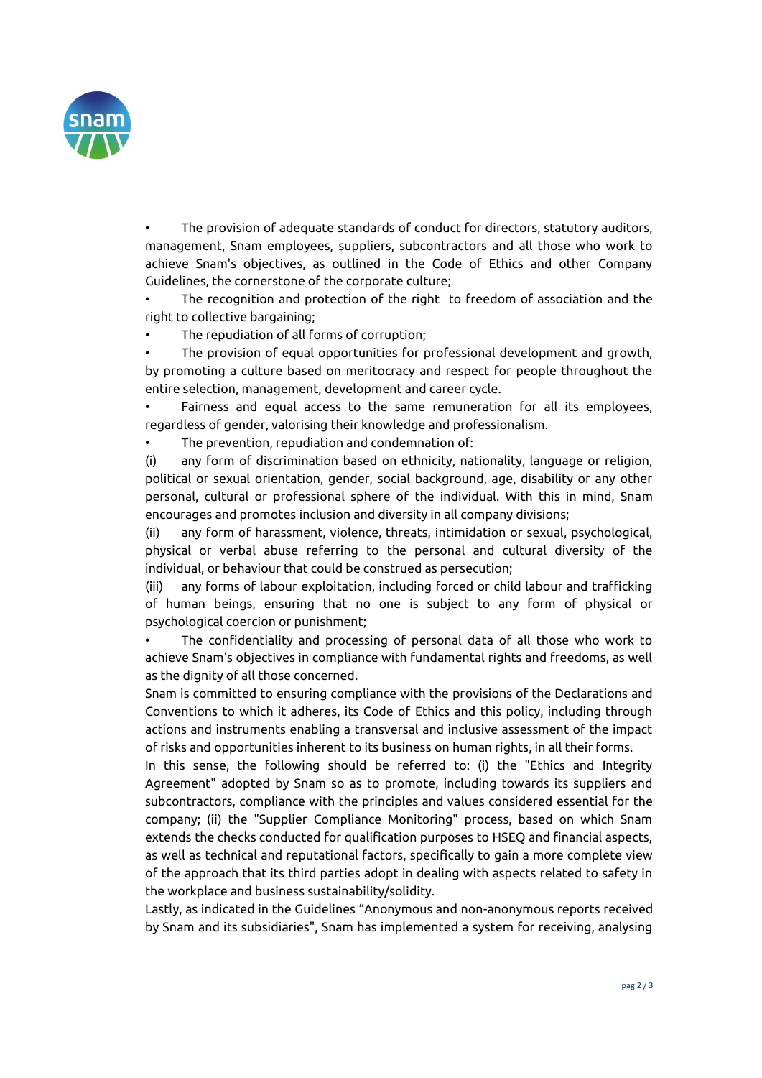

The provision of adequate standards of conduct for directors, statutory auditors, management, Snam employees, suppliers, subcontractors and all those who work to achieve Snam's objectives, as outlined in the Code of Ethics and other Company Guidelines, the cornerstone of the corporate culture;

The recognition and protection of the right to freedom of association and the right to collective bargaining;

The repudiation of all forms of corruption;

• The provision of equal opportunities for professional development and growth, by promoting a culture based on meritocracy and respect for people throughout the entire selection, management, development and career cycle.

• Fairness and equal access to the same remuneration for all its employees, regardless of gender, valorising their knowledge and professionalism.

The prevention, repudiation and condemnation of:

(i) any form of discrimination based on ethnicity, nationality, language or religion, political or sexual orientation, gender, social background, age, disability or any other personal, cultural or professional sphere of the individual. With this in mind, Snam encourages and promotes inclusion and diversity in all company divisions;

(ii) any form of harassment, violence, threats, intimidation or sexual, psychological, physical or verbal abuse referring to the personal and cultural diversity of the individual, or behaviour that could be construed as persecution;

(iii) any forms of labour exploitation, including forced or child labour and trafficking of human beings, ensuring that no one is subject to any form of physical or psychological coercion or punishment;

• The confidentiality and processing of personal data of all those who work to achieve Snam's objectives in compliance with fundamental rights and freedoms, as well as the dignity of all those concerned.

Snam is committed to ensuring compliance with the provisions of the Declarations and Conventions to which it adheres, its Code of Ethics and this policy, including through actions and instruments enabling a transversal and inclusive assessment of the impact of risks and opportunities inherent to its business on human rights, in all their forms.

In this sense, the following should be referred to: (i) the "Ethics and Integrity Agreement" adopted by Snam so as to promote, including towards its suppliers and subcontractors, compliance with the principles and values considered essential for the company; (ii) the "Supplier Compliance Monitoring" process, based on which Snam extends the checks conducted for qualification purposes to HSEQ and financial aspects, as well as technical and reputational factors, specifically to gain a more complete view of the approach that its third parties adopt in dealing with aspects related to safety in the workplace and business sustainability/solidity.

Lastly, as indicated in the Guidelines "Anonymous and non-anonymous reports received by Snam and its subsidiaries", Snam has implemented a system for receiving, analysing